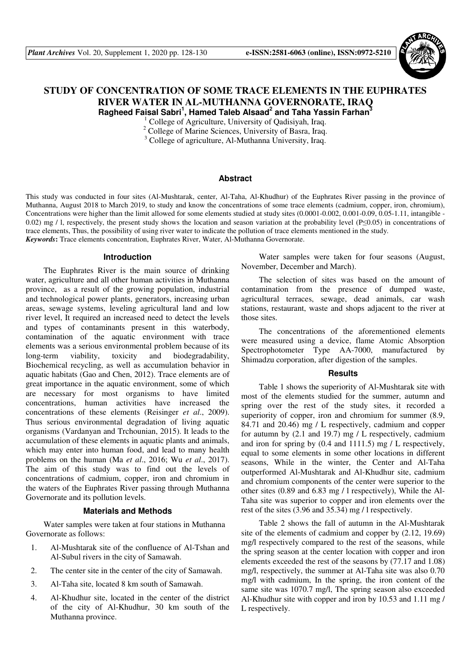

# **STUDY OF CONCENTRATION OF SOME TRACE ELEMENTS IN THE EUPHRATES RIVER WATER IN AL-MUTHANNA GOVERNORATE, IRAQ Ragheed Faisal Sabri<sup>1</sup> , Hamed Taleb Alsaad<sup>2</sup> and Taha Yassin Farhan<sup>3</sup>**

<sup>1</sup> College of Agriculture, University of Qadisiyah, Iraq.

<sup>2</sup> College of Marine Sciences, University of Basra, Iraq.

<sup>3</sup> College of agriculture, Al-Muthanna University, Iraq.

#### **Abstract**

This study was conducted in four sites (Al-Mushtarak, center, Al-Taha, Al-Khudhur) of the Euphrates River passing in the province of Muthanna, August 2018 to March 2019, to study and know the concentrations of some trace elements (cadmium, copper, iron, chromium), Concentrations were higher than the limit allowed for some elements studied at study sites (0.0001-0.002, 0.001-0.09, 0.05-1.11, intangible -0.02) mg / l, respectively, the present study shows the location and season variation at the probability level (P≤0.05) in concentrations of trace elements, Thus, the possibility of using river water to indicate the pollution of trace elements mentioned in the study. *Keywords***:** Trace elements concentration, Euphrates River, Water, Al-Muthanna Governorate.

#### **Introduction**

The Euphrates River is the main source of drinking water, agriculture and all other human activities in Muthanna province, as a result of the growing population, industrial and technological power plants, generators, increasing urban areas, sewage systems, leveling agricultural land and low river level, It required an increased need to detect the levels and types of contaminants present in this waterbody, contamination of the aquatic environment with trace elements was a serious environmental problem because of its long-term viability, toxicity and biodegradability, Biochemical recycling, as well as accumulation behavior in aquatic habitats (Gao and Chen, 2012). Trace elements are of great importance in the aquatic environment, some of which are necessary for most organisms to have limited concentrations, human activities have increased the concentrations of these elements (Reisinger *et al*., 2009). Thus serious environmental degradation of living aquatic organisms (Vardanyan and Trchounian, 2015). It leads to the accumulation of these elements in aquatic plants and animals, which may enter into human food, and lead to many health problems on the human (Ma *et al*., 2016; Wu *et al*., 2017). The aim of this study was to find out the levels of concentrations of cadmium, copper, iron and chromium in the waters of the Euphrates River passing through Muthanna Governorate and its pollution levels.

#### **Materials and Methods**

Water samples were taken at four stations in Muthanna Governorate as follows:

- 1. Al-Mushtarak site of the confluence of Al-Tshan and Al-Subul rivers in the city of Samawah.
- 2. The center site in the center of the city of Samawah.
- 3. Al-Taha site, located 8 km south of Samawah.
- 4. Al-Khudhur site, located in the center of the district of the city of Al-Khudhur, 30 km south of the Muthanna province.

Water samples were taken for four seasons (August, November, December and March).

The selection of sites was based on the amount of contamination from the presence of dumped waste, agricultural terraces, sewage, dead animals, car wash stations, restaurant, waste and shops adjacent to the river at those sites.

The concentrations of the aforementioned elements were measured using a device, flame Atomic Absorption Spectrophotometer Type AA-7000, manufactured by Shimadzu corporation, after digestion of the samples.

## **Results**

Table 1 shows the superiority of Al-Mushtarak site with most of the elements studied for the summer, autumn and spring over the rest of the study sites, it recorded a superiority of copper, iron and chromium for summer  $(8.9, 1)$ 84.71 and 20.46) mg / L respectively, cadmium and copper for autumn by (2.1 and 19.7) mg / L respectively, cadmium and iron for spring by (0.4 and 1111.5) mg / L respectively, equal to some elements in some other locations in different seasons, While in the winter, the Center and Al-Taha outperformed Al-Mushtarak and Al-Khudhur site, cadmium and chromium components of the center were superior to the other sites (0.89 and 6.83 mg / l respectively), While the Al-Taha site was superior to copper and iron elements over the rest of the sites (3.96 and 35.34) mg / l respectively.

Table 2 shows the fall of autumn in the Al-Mushtarak site of the elements of cadmium and copper by (2.12, 19.69) mg/l respectively compared to the rest of the seasons, while the spring season at the center location with copper and iron elements exceeded the rest of the seasons by (77.17 and 1.08) mg/l, respectively, the summer at Al-Taha site was also 0.70 mg/l with cadmium, In the spring, the iron content of the same site was 1070.7 mg/l, The spring season also exceeded Al-Khudhur site with copper and iron by 10.53 and 1.11 mg / L respectively.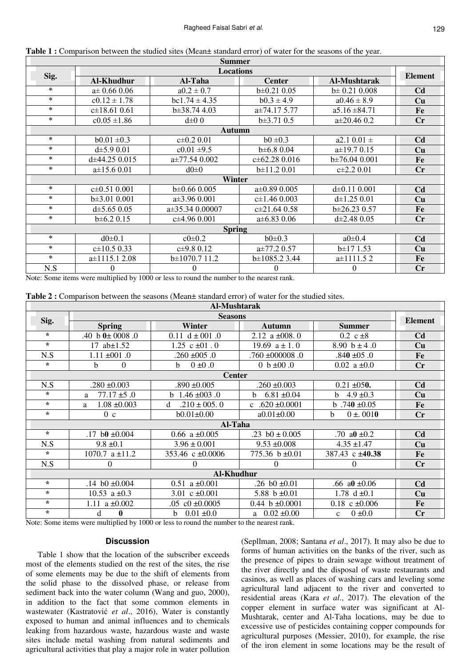| <b>Summer</b> |                    |                                                  |                    |                     |                |  |  |  |  |  |
|---------------|--------------------|--------------------------------------------------|--------------------|---------------------|----------------|--|--|--|--|--|
| Sig.          | <b>Locations</b>   |                                                  |                    |                     |                |  |  |  |  |  |
|               | <b>Al-Khudhur</b>  | Al-Taha                                          | <b>Center</b>      | <b>Al-Mushtarak</b> | <b>Element</b> |  |  |  |  |  |
| $\ast$        | $a\pm 0.66$ 0.06   | $a0.2 \pm 0.7$                                   | $b\pm 0.21$ 0.05   | $b\pm 0.21$ 0.008   | C <sub>d</sub> |  |  |  |  |  |
| $\ast$        | $c0.12 \pm 1.78$   | $bc1.74 \pm 4.35$                                | $b0.3 \pm 4.9$     | $a0.46 \pm 8.9$     | Cu             |  |  |  |  |  |
| $\ast$        | $c\pm 18.61$ 0.61  | $b\pm 38.74$ 4.03                                | $a\pm74.175.77$    | $a5.16 \pm 84.71$   | Fe             |  |  |  |  |  |
| $\ast$        | $c0.05 \pm 1.86$   | $d\pm 0$ 0                                       | $b\pm 3.71$ 0.5    | $a\pm 20.46$ 0.2    | Cr             |  |  |  |  |  |
| Autumn        |                    |                                                  |                    |                     |                |  |  |  |  |  |
| $\ast$        | $b0.01 \pm 0.3$    | $c\pm0.2$ 0.01<br>$a2.10.01 \pm$<br>$b0 \pm 0.3$ |                    |                     | C <sub>d</sub> |  |  |  |  |  |
| $\ast$        | $d\pm 5.9 0.01$    | $c0.01 \pm 9.5$                                  | $b\pm 6.8$ 0.04    | $a\pm 19.7$ 0.15    | Cu             |  |  |  |  |  |
| $\ast$        | $d\pm 44.25$ 0.015 | $a\pm 77.54$ 0.002                               | $c\pm 62.28$ 0.016 | $b\pm76.04$ 0.001   | Fe             |  |  |  |  |  |
| $\ast$        | $a\pm 15.6$ 0.01   | $d0\pm 0$                                        | $b \pm 11.2 0.01$  | $c\pm 2.2$ 0.01     | $\mathbf{C}$ r |  |  |  |  |  |
| Winter        |                    |                                                  |                    |                     |                |  |  |  |  |  |
| $\ast$        | $c\pm 0.51$ 0.001  | $b\pm0.66$ 0.005                                 | $a\pm0.89$ 0.005   | $d\pm 0.11$ 0.001   | C <sub>d</sub> |  |  |  |  |  |
| $\ast$        | $b\pm 3.01$ 0.001  | $a\pm 3.96$ 0.001                                | $c\pm 1.46$ 0.003  | $d\pm 1.25$ 0.01    | Cu             |  |  |  |  |  |
| $\ast$        | $d\pm 5.65$ 0.05   | $a\pm 35.34$ 0.00007                             | $c\pm 21.64$ 0.58  | $b\pm 26.23$ 0.57   | Fe             |  |  |  |  |  |
| $\ast$        | $b\pm 6.2$ 0.15    | $c\pm 4.96$ 0.001                                | $a\pm 6.83$ 0.06   | $d\pm 2.48$ 0.05    | Cr             |  |  |  |  |  |
| <b>Spring</b> |                    |                                                  |                    |                     |                |  |  |  |  |  |
| $\ast$        | $d0\pm 0.1$        | $c0 \pm 0.2$                                     | $b0 \pm 0.3$       | $a0\pm0.4$          | C <sub>d</sub> |  |  |  |  |  |
| $\ast$        | $c\pm 10.5$ 0.33   | $c\pm9.80.12$                                    | $a\pm 77.2$ 0.57   | $b \pm 17$ 1.53     | Cu             |  |  |  |  |  |
| $\ast$        | $a\pm 1115.12.08$  | $b \pm 1070.711.2$                               | $b\pm 1085.2$ 3.44 | $a \pm 1111.52$     | Fe             |  |  |  |  |  |
| N.S           | $\theta$           | 0                                                | $\theta$           | $\theta$            | Cr             |  |  |  |  |  |

|  |  |  |  |  |  |  |  |  |  |  |  | <b>Table 1:</b> Comparison between the studied sites (Mean $\pm$ standard error) of water for the seasons of the year. |
|--|--|--|--|--|--|--|--|--|--|--|--|------------------------------------------------------------------------------------------------------------------------|
|--|--|--|--|--|--|--|--|--|--|--|--|------------------------------------------------------------------------------------------------------------------------|

Note: Some items were multiplied by 1000 or less to round the number to the nearest rank.

| Al-Mushtarak      |                       |                              |                       |                             |                |  |  |  |  |
|-------------------|-----------------------|------------------------------|-----------------------|-----------------------------|----------------|--|--|--|--|
| Sig.              | <b>Seasons</b>        |                              |                       |                             |                |  |  |  |  |
|                   | <b>Spring</b>         | Winter                       | <b>Autumn</b>         | <b>Summer</b>               | <b>Element</b> |  |  |  |  |
| $\star$           | .40 b $0 \pm 0008$ .0 | 0.11 $d \pm 001$ .0          | 2.12 a $\pm$ 008.0    | $0.2 \text{ c} \pm 8$       | C <sub>d</sub> |  |  |  |  |
| $\star$           | 17 $ab \pm 1.52$      | 1.25 $c \pm 01$ .0           | 19.69 $a \pm 1.0$     | 8.90 $b \pm 4.0$            | Cu             |  |  |  |  |
| N.S               | $1.11 \pm 001.0$      | $.260 \pm 005$ .0            | $.760 \pm 000008$ .0  | $.840 \pm 05.0$             | Fe             |  |  |  |  |
| $\star$           | $\theta$<br>b         | $0 \pm 0.0$<br><sub>h</sub>  | 0 $b \pm 00.0$        | 0.02 $a \pm 0.0$            | Cr             |  |  |  |  |
| <b>Center</b>     |                       |                              |                       |                             |                |  |  |  |  |
| N.S               | $.280 \pm 0.003$      | $.890 \pm 0.005$             | $.260 \pm 0.003$      | $0.21 \pm 0.50$ .           | C <sub>d</sub> |  |  |  |  |
| $\star$           | $77.17 \pm 5.0$<br>a  | b $1.46 \pm 003.0$           | $6.81 \pm 0.04$<br>h. | b $4.9 \pm 0.3$             | Cu             |  |  |  |  |
| $\star$           | $1.08 \pm 0.003$<br>a | $.210 \pm 005.0$<br>d        | c .620 $\pm 0.0001$   | b.740 $\pm 0.05$            | Fe             |  |  |  |  |
| $\star$           | 0 <sub>c</sub>        | $b0.01 \pm 0.00$             | $a0.01 \pm 0.00$      | $0 \pm 0.010$<br>b          | Cr             |  |  |  |  |
|                   |                       | Al-Taha                      |                       |                             |                |  |  |  |  |
| $\star$           | .17 b0 $\pm 0.004$    | 0.66 a $\pm$ 0.005           | .23 $b0 \pm 0.005$    | .70 a0 $\pm 0.2$            | C <sub>d</sub> |  |  |  |  |
| N.S               | $9.8 \pm 0.1$         | $3.96 \pm 0.001$             | $9.53 \pm 0.008$      | $4.35 \pm 1.47$             | Cu             |  |  |  |  |
| $\star$           | 1070.7 $a \pm 11.2$   | 353.46 c $\pm 0.0006$        | 775.36 b ±0.01        | 387.43 c ±40.38             | Fe             |  |  |  |  |
| N.S               | 0                     | 0                            | $\Omega$              | $\theta$                    | $\mathbf{C}$ r |  |  |  |  |
| <b>Al-Khudhur</b> |                       |                              |                       |                             |                |  |  |  |  |
| $\star$           | .14 b0 $\pm 0.004$    | $0.51$ a $\pm 0.001$         | .26 b0 $\pm 0.01$     | .66 a0 $\pm 0.06$           | C <sub>d</sub> |  |  |  |  |
| $\star$           | 10.53 a $\pm$ 0.3     | 3.01 c $\pm 0.001$           | 5.88 $b \pm 0.01$     | 1.78 d $\pm 0.1$            | Cu             |  |  |  |  |
| $\star$           | 1.11 a $\pm 0.002$    | $.05 \text{ } c0 \pm 0.0005$ | 0.44 $b \pm 0.0001$   | $0.18 \text{ c } \pm 0.006$ | Fe             |  |  |  |  |
| $\star$           | d<br>0                | b $0.01 \pm 0.0$             | a $0.02 \pm 0.00$     | $0 \pm 0.0$<br>$\mathbf{c}$ | Cr             |  |  |  |  |

Note: Some items were multiplied by 1000 or less to round the number to the nearest rank.

## **Discussion**

Table 1 show that the location of the subscriber exceeds most of the elements studied on the rest of the sites, the rise of some elements may be due to the shift of elements from the solid phase to the dissolved phase, or release from sediment back into the water column (Wang and guo, 2000), in addition to the fact that some common elements in wastewater (Kastratović *et al*., 2016), Water is constantly exposed to human and animal influences and to chemicals leaking from hazardous waste, hazardous waste and waste sites include metal washing from natural sediments and agricultural activities that play a major role in water pollution

(Sepllman, 2008; Santana *et al*., 2017). It may also be due to forms of human activities on the banks of the river, such as the presence of pipes to drain sewage without treatment of the river directly and the disposal of waste restaurants and casinos, as well as places of washing cars and leveling some agricultural land adjacent to the river and converted to residential areas (Kara *et al*., 2017). The elevation of the copper element in surface water was significant at Al-Mushtarak, center and Al-Taha locations, may be due to excessive use of pesticides containing copper compounds for agricultural purposes (Messier, 2010), for example, the rise of the iron element in some locations may be the result of